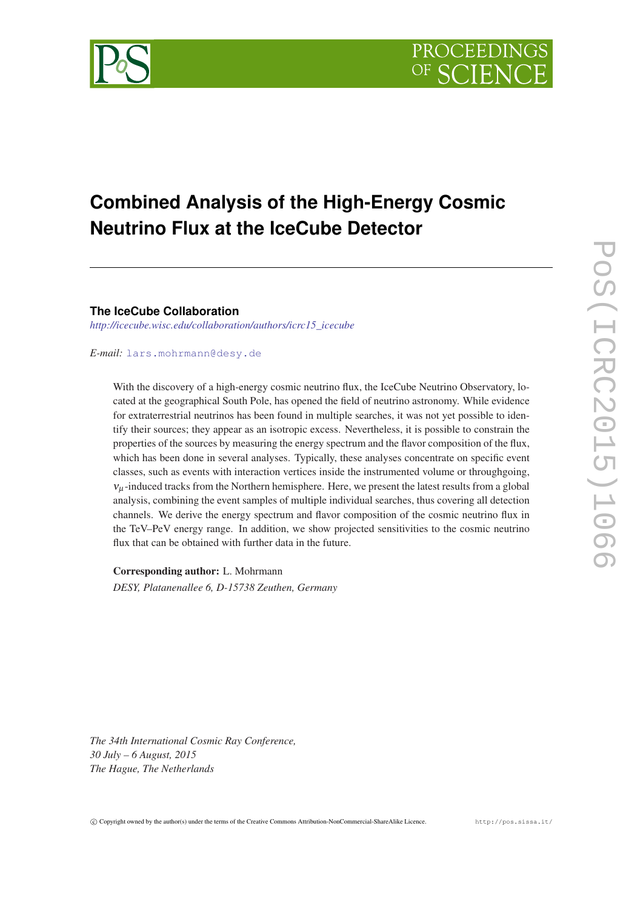

# **Combined Analysis of the High-Energy Cosmic Neutrino Flux at the IceCube Detector**

**The IceCube Collaboration**

*[http://icecube.wisc.edu/collaboration/authors/icrc15\\_icecube](http://icecube.wisc.edu/collaboration/authors/icrc15_icecube)*

## *E-mail:* [lars.mohrmann@desy.de](mailto:lars.mohrmann@desy.de)

With the discovery of a high-energy cosmic neutrino flux, the IceCube Neutrino Observatory, located at the geographical South Pole, has opened the field of neutrino astronomy. While evidence for extraterrestrial neutrinos has been found in multiple searches, it was not yet possible to identify their sources; they appear as an isotropic excess. Nevertheless, it is possible to constrain the properties of the sources by measuring the energy spectrum and the flavor composition of the flux, which has been done in several analyses. Typically, these analyses concentrate on specific event classes, such as events with interaction vertices inside the instrumented volume or throughgoing,  $v_{\mu}$ -induced tracks from the Northern hemisphere. Here, we present the latest results from a global analysis, combining the event samples of multiple individual searches, thus covering all detection channels. We derive the energy spectrum and flavor composition of the cosmic neutrino flux in the TeV–PeV energy range. In addition, we show projected sensitivities to the cosmic neutrino flux that can be obtained with further data in the future.

Corresponding author: L. Mohrmann *DESY, Platanenallee 6, D-15738 Zeuthen, Germany*

*The 34th International Cosmic Ray Conference, 30 July – 6 August, 2015 The Hague, The Netherlands*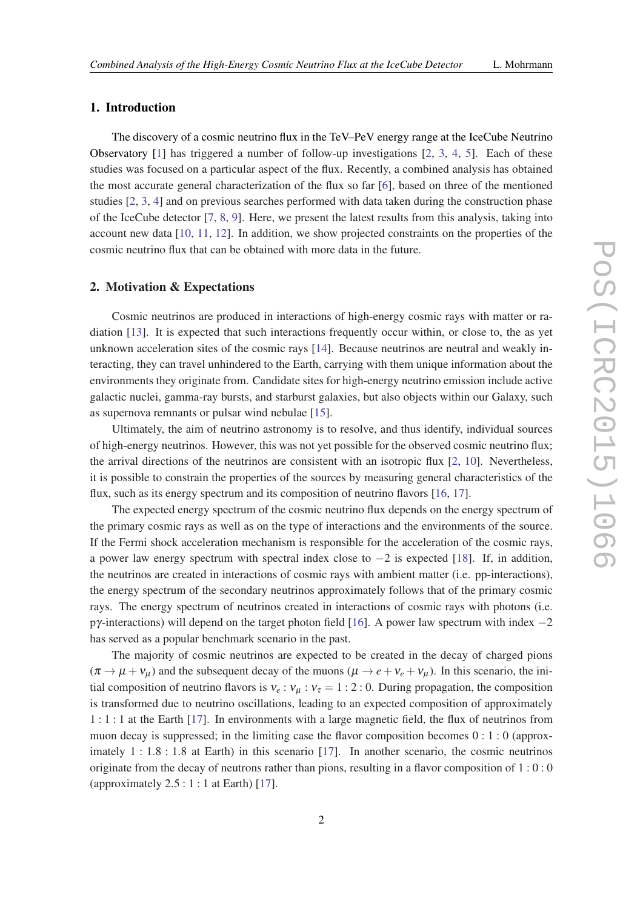# 1. Introduction

The discovery of a cosmic neutrino flux in the TeV–PeV energy range at the IceCube Neutrino Observatory [[1](#page-7-0)] has triggered a number of follow-up investigations [\[2,](#page-7-0) [3,](#page-7-0) [4](#page-7-0), [5\]](#page-7-0). Each of these studies was focused on a particular aspect of the flux. Recently, a combined analysis has obtained the most accurate general characterization of the flux so far [[6](#page-7-0)], based on three of the mentioned studies [\[2](#page-7-0), [3](#page-7-0), [4](#page-7-0)] and on previous searches performed with data taken during the construction phase of the IceCube detector [[7](#page-7-0), [8](#page-7-0), [9](#page-7-0)]. Here, we present the latest results from this analysis, taking into account new data [[10,](#page-7-0) [11,](#page-7-0) [12](#page-7-0)]. In addition, we show projected constraints on the properties of the cosmic neutrino flux that can be obtained with more data in the future.

### 2. Motivation & Expectations

Cosmic neutrinos are produced in interactions of high-energy cosmic rays with matter or radiation [[13\]](#page-7-0). It is expected that such interactions frequently occur within, or close to, the as yet unknown acceleration sites of the cosmic rays [\[14](#page-7-0)]. Because neutrinos are neutral and weakly interacting, they can travel unhindered to the Earth, carrying with them unique information about the environments they originate from. Candidate sites for high-energy neutrino emission include active galactic nuclei, gamma-ray bursts, and starburst galaxies, but also objects within our Galaxy, such as supernova remnants or pulsar wind nebulae [[15\]](#page-7-0).

Ultimately, the aim of neutrino astronomy is to resolve, and thus identify, individual sources of high-energy neutrinos. However, this was not yet possible for the observed cosmic neutrino flux; the arrival directions of the neutrinos are consistent with an isotropic flux [[2,](#page-7-0) [10](#page-7-0)]. Nevertheless, it is possible to constrain the properties of the sources by measuring general characteristics of the flux, such as its energy spectrum and its composition of neutrino flavors [[16,](#page-7-0) [17](#page-7-0)].

The expected energy spectrum of the cosmic neutrino flux depends on the energy spectrum of the primary cosmic rays as well as on the type of interactions and the environments of the source. If the Fermi shock acceleration mechanism is responsible for the acceleration of the cosmic rays, a power law energy spectrum with spectral index close to −2 is expected [[18\]](#page-7-0). If, in addition, the neutrinos are created in interactions of cosmic rays with ambient matter (i.e. pp-interactions), the energy spectrum of the secondary neutrinos approximately follows that of the primary cosmic rays. The energy spectrum of neutrinos created in interactions of cosmic rays with photons (i.e. pγ-interactions) will depend on the target photon field [[16\]](#page-7-0). A power law spectrum with index −2 has served as a popular benchmark scenario in the past.

The majority of cosmic neutrinos are expected to be created in the decay of charged pions  $(\pi \rightarrow \mu + v_{\mu})$  and the subsequent decay of the muons  $(\mu \rightarrow e + v_e + v_{\mu})$ . In this scenario, the initial composition of neutrino flavors is  $v_e : v_\mu : v_\tau = 1 : 2 : 0$ . During propagation, the composition is transformed due to neutrino oscillations, leading to an expected composition of approximately 1 : 1 : 1 at the Earth [[17\]](#page-7-0). In environments with a large magnetic field, the flux of neutrinos from muon decay is suppressed; in the limiting case the flavor composition becomes  $0:1:0$  (approximately 1 : 1.8 : 1.8 at Earth) in this scenario [[17](#page-7-0)]. In another scenario, the cosmic neutrinos originate from the decay of neutrons rather than pions, resulting in a flavor composition of  $1:0:0$ (approximately  $2.5:1:1$  at Earth) [\[17](#page-7-0)].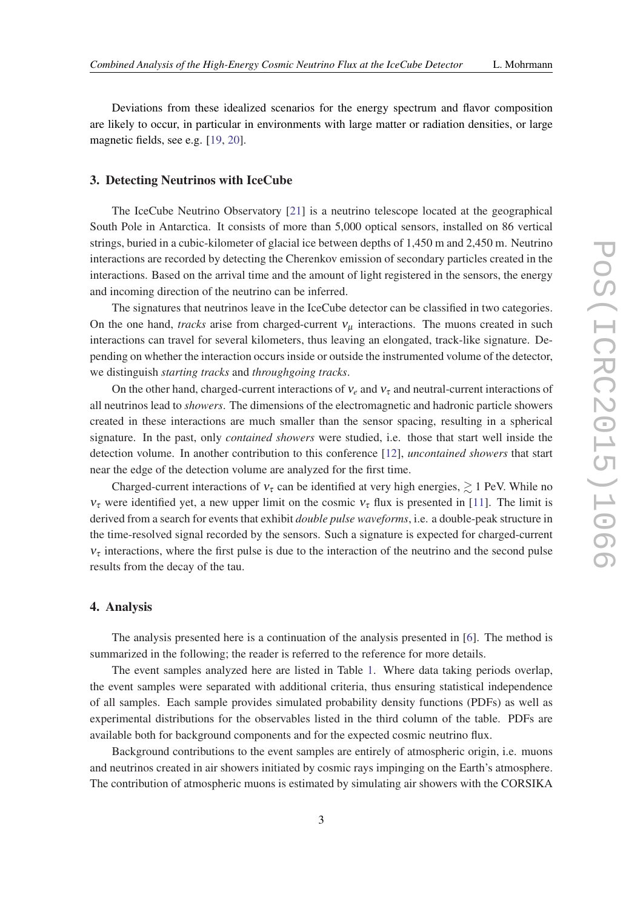Deviations from these idealized scenarios for the energy spectrum and flavor composition are likely to occur, in particular in environments with large matter or radiation densities, or large magnetic fields, see e.g. [[19](#page-7-0), [20\]](#page-7-0).

### 3. Detecting Neutrinos with IceCube

The IceCube Neutrino Observatory [\[21](#page-7-0)] is a neutrino telescope located at the geographical South Pole in Antarctica. It consists of more than 5,000 optical sensors, installed on 86 vertical strings, buried in a cubic-kilometer of glacial ice between depths of 1,450 m and 2,450 m. Neutrino interactions are recorded by detecting the Cherenkov emission of secondary particles created in the interactions. Based on the arrival time and the amount of light registered in the sensors, the energy and incoming direction of the neutrino can be inferred.

The signatures that neutrinos leave in the IceCube detector can be classified in two categories. On the one hand, *tracks* arise from charged-current  $v<sub>u</sub>$  interactions. The muons created in such interactions can travel for several kilometers, thus leaving an elongated, track-like signature. Depending on whether the interaction occurs inside or outside the instrumented volume of the detector, we distinguish *starting tracks* and *throughgoing tracks*.

On the other hand, charged-current interactions of  $v_e$  and  $v_\tau$  and neutral-current interactions of all neutrinos lead to *showers*. The dimensions of the electromagnetic and hadronic particle showers created in these interactions are much smaller than the sensor spacing, resulting in a spherical signature. In the past, only *contained showers* were studied, i.e. those that start well inside the detection volume. In another contribution to this conference [[12\]](#page-7-0), *uncontained showers* that start near the edge of the detection volume are analyzed for the first time.

Charged-current interactions of  $v_{\tau}$  can be identified at very high energies,  $\geq 1$  PeV. While no  $v_{\tau}$  were identified yet, a new upper limit on the cosmic  $v_{\tau}$  flux is presented in [[11\]](#page-7-0). The limit is derived from a search for events that exhibit *double pulse waveforms*, i.e. a double-peak structure in the time-resolved signal recorded by the sensors. Such a signature is expected for charged-current  $v<sub>\tau</sub>$  interactions, where the first pulse is due to the interaction of the neutrino and the second pulse results from the decay of the tau.

# 4. Analysis

The analysis presented here is a continuation of the analysis presented in [\[6\]](#page-7-0). The method is summarized in the following; the reader is referred to the reference for more details.

The event samples analyzed here are listed in Table [1.](#page-3-0) Where data taking periods overlap, the event samples were separated with additional criteria, thus ensuring statistical independence of all samples. Each sample provides simulated probability density functions (PDFs) as well as experimental distributions for the observables listed in the third column of the table. PDFs are available both for background components and for the expected cosmic neutrino flux.

Background contributions to the event samples are entirely of atmospheric origin, i.e. muons and neutrinos created in air showers initiated by cosmic rays impinging on the Earth's atmosphere. The contribution of atmospheric muons is estimated by simulating air showers with the CORSIKA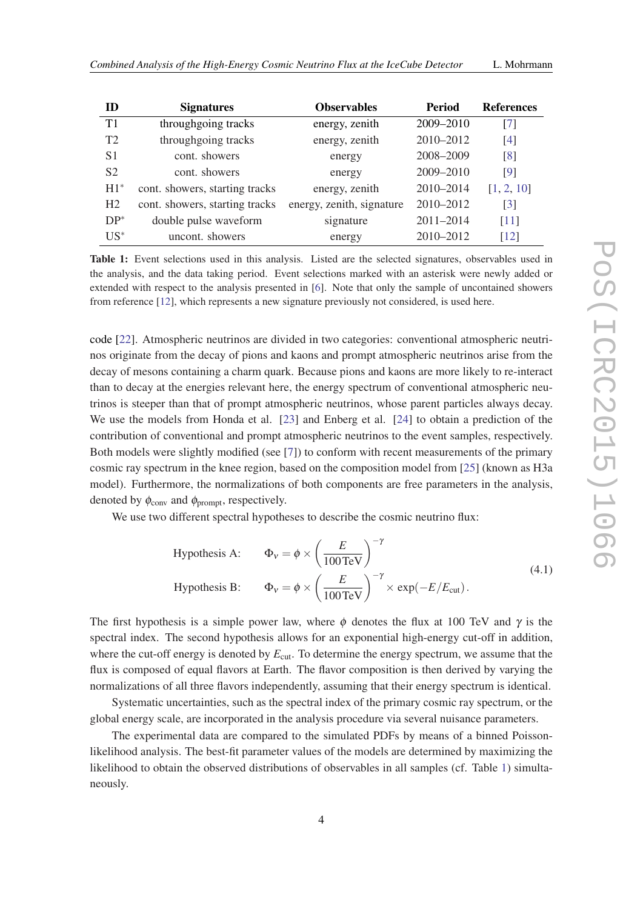<span id="page-3-0"></span>

| ID             | <b>Signatures</b>              | <b>Observables</b>        | Period        | <b>References</b> |
|----------------|--------------------------------|---------------------------|---------------|-------------------|
| T1             | throughgoing tracks            | energy, zenith            | 2009-2010     | [7]               |
| T2             | throughgoing tracks            | energy, zenith            | 2010-2012     | [4]               |
| S <sub>1</sub> | cont. showers                  | energy                    | 2008-2009     | [8]               |
| S <sub>2</sub> | cont. showers                  | energy                    | 2009-2010     | [9]               |
| $H1^*$         | cont. showers, starting tracks | energy, zenith            | 2010-2014     | [1, 2, 10]        |
| H <sub>2</sub> | cont. showers, starting tracks | energy, zenith, signature | $2010 - 2012$ | $\lceil 3 \rceil$ |
| $DP^*$         | double pulse waveform          | signature                 | 2011-2014     | $[11]$            |
| $US^*$         | uncont. showers                | energy                    | 2010-2012     | [12]              |

Table 1: Event selections used in this analysis. Listed are the selected signatures, observables used in the analysis, and the data taking period. Event selections marked with an asterisk were newly added or extended with respect to the analysis presented in [[6\]](#page-7-0). Note that only the sample of uncontained showers from reference [\[12](#page-7-0)], which represents a new signature previously not considered, is used here.

code [[22](#page-7-0)]. Atmospheric neutrinos are divided in two categories: conventional atmospheric neutrinos originate from the decay of pions and kaons and prompt atmospheric neutrinos arise from the decay of mesons containing a charm quark. Because pions and kaons are more likely to re-interact than to decay at the energies relevant here, the energy spectrum of conventional atmospheric neutrinos is steeper than that of prompt atmospheric neutrinos, whose parent particles always decay. We use the models from Honda et al. [\[23](#page-7-0)] and Enberg et al. [[24](#page-7-0)] to obtain a prediction of the contribution of conventional and prompt atmospheric neutrinos to the event samples, respectively. Both models were slightly modified (see [\[7\]](#page-7-0)) to conform with recent measurements of the primary cosmic ray spectrum in the knee region, based on the composition model from [\[25](#page-7-0)] (known as H3a model). Furthermore, the normalizations of both components are free parameters in the analysis, denoted by  $\phi_{\text{conv}}$  and  $\phi_{\text{prompt}}$ , respectively.

We use two different spectral hypotheses to describe the cosmic neutrino flux:

Hypothesis A: 
$$
\Phi_v = \phi \times \left(\frac{E}{100 \text{ TeV}}\right)^{-\gamma}
$$
  
\nHypothesis B:  $\Phi_v = \phi \times \left(\frac{E}{100 \text{ TeV}}\right)^{-\gamma} \times \exp(-E/E_{\text{cut}}).$  (4.1)

The first hypothesis is a simple power law, where  $\phi$  denotes the flux at 100 TeV and  $\gamma$  is the spectral index. The second hypothesis allows for an exponential high-energy cut-off in addition, where the cut-off energy is denoted by  $E_{\text{cut}}$ . To determine the energy spectrum, we assume that the flux is composed of equal flavors at Earth. The flavor composition is then derived by varying the normalizations of all three flavors independently, assuming that their energy spectrum is identical.

Systematic uncertainties, such as the spectral index of the primary cosmic ray spectrum, or the global energy scale, are incorporated in the analysis procedure via several nuisance parameters.

The experimental data are compared to the simulated PDFs by means of a binned Poissonlikelihood analysis. The best-fit parameter values of the models are determined by maximizing the likelihood to obtain the observed distributions of observables in all samples (cf. Table 1) simultaneously.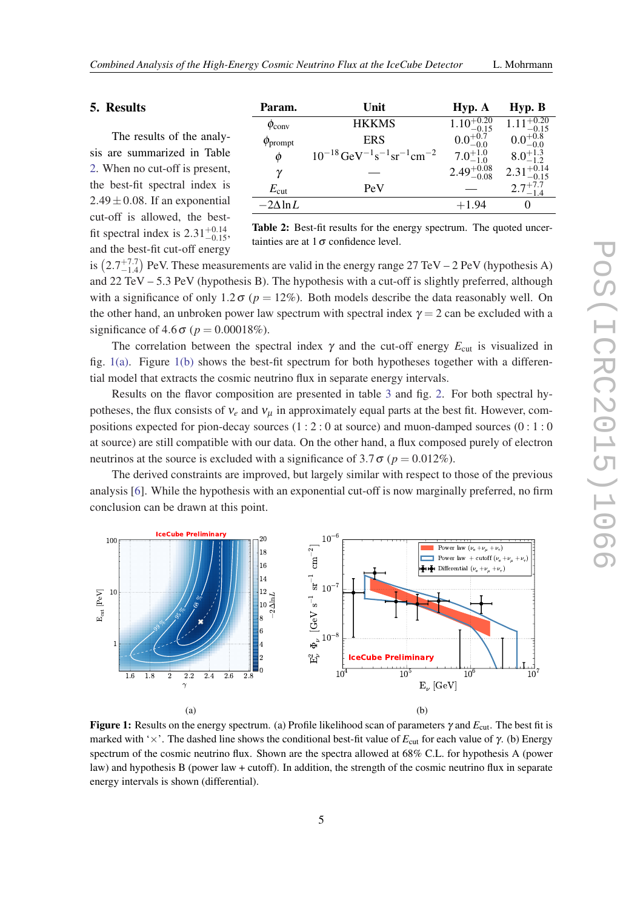# 5. Results

The results of the analysis are summarized in Table 2. When no cut-off is present, the best-fit spectral index is  $2.49 \pm 0.08$ . If an exponential cut-off is allowed, the bestfit spectral index is  $2.31^{+0.14}_{-0.15}$ , and the best-fit cut-off energy

| Param.                   | Unit                                                                           | Hyp. A                            | Hyp. B                 |
|--------------------------|--------------------------------------------------------------------------------|-----------------------------------|------------------------|
| $\phi_{\rm conv}$        | <b>HKKMS</b>                                                                   | $\overline{1.10}^{+0.20}_{-0.15}$ | $1.11_{-0.15}^{+0.20}$ |
| $\phi$ <sub>prompt</sub> | <b>ERS</b>                                                                     | $0.0^{+0.7}_{-0.0}$               | $0.0^{+0.8}_{-0.0}$    |
| $\phi$                   | $10^{-18}$ GeV <sup>-1</sup> s <sup>-1</sup> sr <sup>-1</sup> cm <sup>-2</sup> | $7.0^{+1.0}_{-1.0}$               | $8.0^{+1.3}_{-1.2}$    |
| γ                        |                                                                                | $2.49^{+0.08}_{-0.08}$            | $2.31_{-0.15}^{+0.14}$ |
| $E_{\rm cut}$            | PeV                                                                            |                                   | $2.7^{+7.7}_{-1.4}$    |
| $-2\Lambda$ ln L         |                                                                                | $+1.94$                           |                        |
|                          |                                                                                |                                   |                        |

Table 2: Best-fit results for the energy spectrum. The quoted uncertainties are at  $1\sigma$  confidence level.

is  $(2.7^{+7.7}_{-1.4})$  PeV. These measurements are valid in the energy range 27 TeV – 2 PeV (hypothesis A) and 22 TeV – 5.3 PeV (hypothesis B). The hypothesis with a cut-off is slightly preferred, although with a significance of only 1.2 $\sigma$  ( $p = 12\%$ ). Both models describe the data reasonably well. On the other hand, an unbroken power law spectrum with spectral index  $\gamma = 2$  can be excluded with a significance of  $4.6\sigma$  ( $p = 0.00018\%$ ).

The correlation between the spectral index  $\gamma$  and the cut-off energy  $E_{\text{cut}}$  is visualized in fig.  $1(a)$ . Figure  $1(b)$  shows the best-fit spectrum for both hypotheses together with a differential model that extracts the cosmic neutrino flux in separate energy intervals.

Results on the flavor composition are presented in table [3](#page-5-0) and fig. [2](#page-5-0). For both spectral hypotheses, the flux consists of  $v_e$  and  $v_\mu$  in approximately equal parts at the best fit. However, compositions expected for pion-decay sources (1 : 2 : 0 at source) and muon-damped sources (0 : 1 : 0 at source) are still compatible with our data. On the other hand, a flux composed purely of electron neutrinos at the source is excluded with a significance of 3.7  $\sigma$  ( $p = 0.012\%$ ).

The derived constraints are improved, but largely similar with respect to those of the previous analysis [[6](#page-7-0)]. While the hypothesis with an exponential cut-off is now marginally preferred, no firm conclusion can be drawn at this point.



Figure 1: Results on the energy spectrum. (a) Profile likelihood scan of parameters γ and *E*cut. The best fit is marked with ' $\times$ '. The dashed line shows the conditional best-fit value of *E*<sub>cut</sub> for each value of  $\gamma$ . (b) Energy spectrum of the cosmic neutrino flux. Shown are the spectra allowed at 68% C.L. for hypothesis A (power law) and hypothesis B (power law + cutoff). In addition, the strength of the cosmic neutrino flux in separate energy intervals is shown (differential).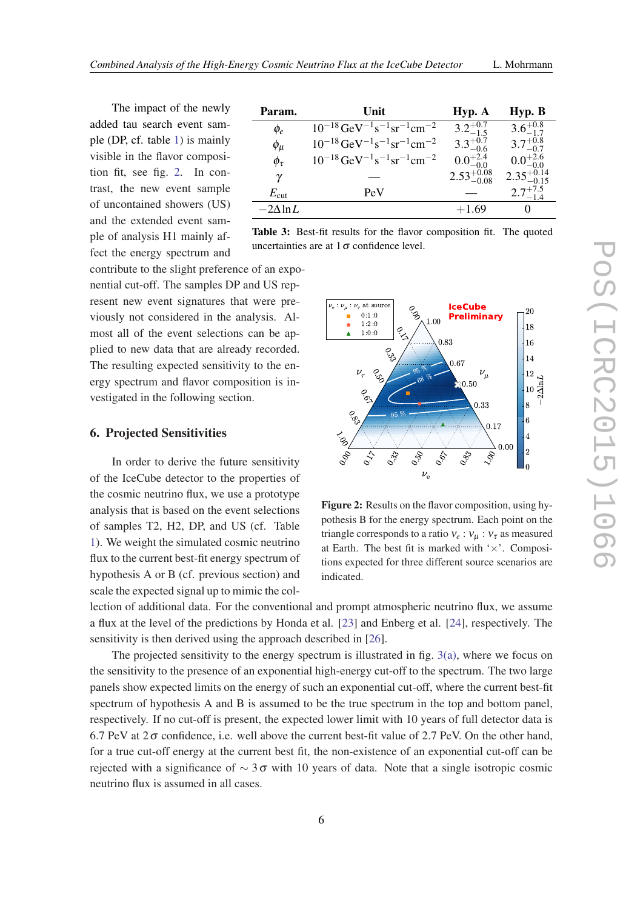<span id="page-5-0"></span>The impact of the newly added tau search event sample (DP, cf. table [1](#page-3-0)) is mainly visible in the flavor composition fit, see fig. 2. In contrast, the new event sample of uncontained showers (US) and the extended event sample of analysis H1 mainly affect the energy spectrum and

| Param.            | Unit                                                                           | Hyp. A                 | Hyp. B                 |
|-------------------|--------------------------------------------------------------------------------|------------------------|------------------------|
| $\phi_e$          | $10^{-18}$ GeV <sup>-1</sup> s <sup>-1</sup> sr <sup>-1</sup> cm <sup>-2</sup> | $3.2^{+0.7}_{-1.5}$    | $3.6^{+0.8}_{-1.7}$    |
| $\phi_\mu$        | $10^{-18}$ GeV <sup>-1</sup> s <sup>-1</sup> sr <sup>-1</sup> cm <sup>-2</sup> | $3.3^{+0.7}_{-0.6}$    | $3.7^{+0.8}_{-0.7}$    |
| $\phi_\tau$       | $10^{-18}$ GeV <sup>-1</sup> s <sup>-1</sup> sr <sup>-1</sup> cm <sup>-2</sup> | $0.0^{+2.4}_{-0.0}$    | $0.0^{+2.6}_{-0.0}$    |
| γ                 |                                                                                | $2.53^{+0.08}_{-0.08}$ | $2.35^{+0.14}_{-0.15}$ |
| $E_{\rm cut}$     | PeV                                                                            |                        | $2.7^{+7.5}_{-1.4}$    |
| $-2\Lambda \ln L$ |                                                                                | $+1.69$                | 0                      |

Table 3: Best-fit results for the flavor composition fit. The quoted uncertainties are at  $1\sigma$  confidence level.

contribute to the slight preference of an exponential cut-off. The samples DP and US represent new event signatures that were previously not considered in the analysis. Almost all of the event selections can be applied to new data that are already recorded. The resulting expected sensitivity to the energy spectrum and flavor composition is investigated in the following section.

### 6. Projected Sensitivities

In order to derive the future sensitivity of the IceCube detector to the properties of the cosmic neutrino flux, we use a prototype analysis that is based on the event selections of samples T2, H2, DP, and US (cf. Table [1\)](#page-3-0). We weight the simulated cosmic neutrino flux to the current best-fit energy spectrum of hypothesis A or B (cf. previous section) and scale the expected signal up to mimic the col-

 $\nu_{\rm e}$  :  $\nu_{\mu}$  :  $\nu_{\tau}$  at source **IceCube** °<br>९ 20  $0:1:0$ ٠ **Preliminary** 1:00 1 :2 :0  $\bullet$ 18 0 $\hat{\mathbf{A}}$ 1 :0 :0  $\leq$ 0:83 16 0.<br>رون<br>: 14 0:67  $95\%$  $v_{\tau}$   $\frac{Q_3}{v_{\theta}}$   $\frac{V_{\mu}}{v_{\mu}}$   $v_{\mu}$ 12 0.જી<br>છ  $68\%$  $2\Delta \ln L$ 0:50 10 0 $\tilde{\mathcal{L}}$ 0:33 8  $\mathcal{S}^{\mathcal{O}}$  $95 \%$  – 6 0:17 4  $\zeta_{3}^{'}$  $o_{\hat{\mathcal{O}}}$ 0:00  $\ensuremath{\mathcal{O}}_{33}$  $o_{\phi}$  $o_{\beta\gamma}$ 2  $\frac{1}{2}$  $\overline{\mathcal{S}}$  $e^{\frac{c}{c}}$ 0  $\nu_e$ 

Figure 2: Results on the flavor composition, using hypothesis B for the energy spectrum. Each point on the triangle corresponds to a ratio  $v_e : v_\mu : v_\tau$  as measured at Earth. The best fit is marked with  $\forall x$ . Compositions expected for three different source scenarios are indicated.

lection of additional data. For the conventional and prompt atmospheric neutrino flux, we assume a flux at the level of the predictions by Honda et al. [[23\]](#page-7-0) and Enberg et al. [\[24](#page-7-0)], respectively. The sensitivity is then derived using the approach described in [[26\]](#page-7-0).

The projected sensitivity to the energy spectrum is illustrated in fig. [3\(a\),](#page-6-0) where we focus on the sensitivity to the presence of an exponential high-energy cut-off to the spectrum. The two large panels show expected limits on the energy of such an exponential cut-off, where the current best-fit spectrum of hypothesis A and B is assumed to be the true spectrum in the top and bottom panel, respectively. If no cut-off is present, the expected lower limit with 10 years of full detector data is 6.7 PeV at  $2\sigma$  confidence, i.e. well above the current best-fit value of 2.7 PeV. On the other hand, for a true cut-off energy at the current best fit, the non-existence of an exponential cut-off can be rejected with a significance of  $\sim 3\sigma$  with 10 years of data. Note that a single isotropic cosmic neutrino flux is assumed in all cases.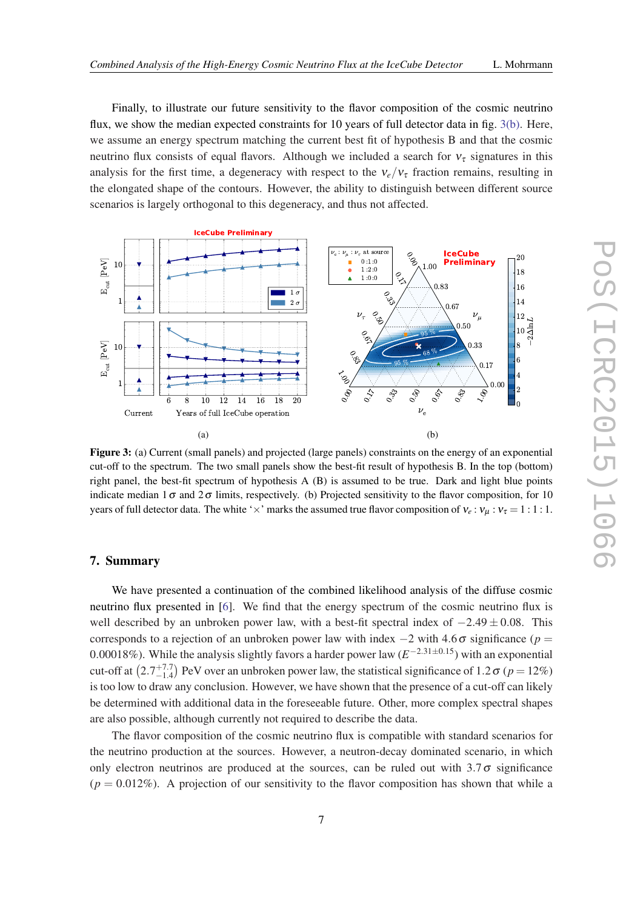<span id="page-6-0"></span>Finally, to illustrate our future sensitivity to the flavor composition of the cosmic neutrino flux, we show the median expected constraints for 10 years of full detector data in fig. 3(b). Here, we assume an energy spectrum matching the current best fit of hypothesis B and that the cosmic neutrino flux consists of equal flavors. Although we included a search for  $v<sub>\tau</sub>$  signatures in this analysis for the first time, a degeneracy with respect to the  $v_e/v_\tau$  fraction remains, resulting in the elongated shape of the contours. However, the ability to distinguish between different source scenarios is largely orthogonal to this degeneracy, and thus not affected.



Figure 3: (a) Current (small panels) and projected (large panels) constraints on the energy of an exponential cut-off to the spectrum. The two small panels show the best-fit result of hypothesis B. In the top (bottom) right panel, the best-fit spectrum of hypothesis A (B) is assumed to be true. Dark and light blue points indicate median  $1\sigma$  and  $2\sigma$  limits, respectively. (b) Projected sensitivity to the flavor composition, for 10 years of full detector data. The white ' $\times$ ' marks the assumed true flavor composition of  $v_e$ :  $v_\mu$ :  $v_\tau = 1$ : 1: 1.

# 7. Summary

We have presented a continuation of the combined likelihood analysis of the diffuse cosmic neutrino flux presented in [\[6\]](#page-7-0). We find that the energy spectrum of the cosmic neutrino flux is well described by an unbroken power law, with a best-fit spectral index of  $-2.49 \pm 0.08$ . This corresponds to a rejection of an unbroken power law with index  $-2$  with 4.6 $\sigma$  significance (*p* = 0.00018%). While the analysis slightly favors a harder power law (*E* <sup>−</sup>2.31±0.15) with an exponential cut-off at  $(2.7^{+7.7}_{-1.4})$  PeV over an unbroken power law, the statistical significance of 1.2  $\sigma$  (*p* = 12%) is too low to draw any conclusion. However, we have shown that the presence of a cut-off can likely be determined with additional data in the foreseeable future. Other, more complex spectral shapes are also possible, although currently not required to describe the data.

The flavor composition of the cosmic neutrino flux is compatible with standard scenarios for the neutrino production at the sources. However, a neutron-decay dominated scenario, in which only electron neutrinos are produced at the sources, can be ruled out with  $3.7\sigma$  significance  $(p = 0.012\%)$ . A projection of our sensitivity to the flavor composition has shown that while a